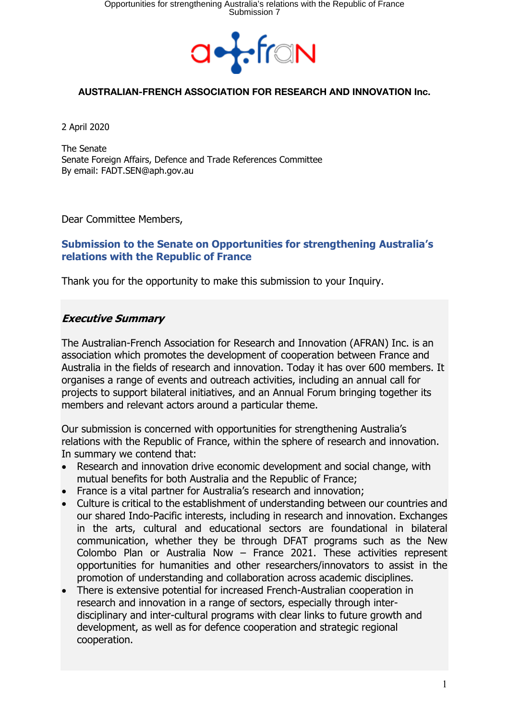

2 April 2020

The Senate Senate Foreign Affairs, Defence and Trade References Committee By email: FADT.SEN@aph.gov.au

Dear Committee Members,

### **Submission to the Senate on Opportunities for strengthening Australia's relations with the Republic of France**

Thank you for the opportunity to make this submission to your Inquiry.

# **Executive Summary**

The Australian-French Association for Research and Innovation (AFRAN) Inc. is an association which promotes the development of cooperation between France and Australia in the fields of research and innovation. Today it has over 600 members. It organises a range of events and outreach activities, including an annual call for projects to support bilateral initiatives, and an Annual Forum bringing together its members and relevant actors around a particular theme.

Our submission is concerned with opportunities for strengthening Australia's relations with the Republic of France, within the sphere of research and innovation. In summary we contend that:

- Research and innovation drive economic development and social change, with mutual benefits for both Australia and the Republic of France;
- France is a vital partner for Australia's research and innovation;
- Culture is critical to the establishment of understanding between our countries and our shared Indo-Pacific interests, including in research and innovation. Exchanges in the arts, cultural and educational sectors are foundational in bilateral communication, whether they be through DFAT programs such as the New Colombo Plan or Australia Now – France 2021. These activities represent opportunities for humanities and other researchers/innovators to assist in the promotion of understanding and collaboration across academic disciplines.
- There is extensive potential for increased French-Australian cooperation in research and innovation in a range of sectors, especially through interdisciplinary and inter-cultural programs with clear links to future growth and development, as well as for defence cooperation and strategic regional cooperation.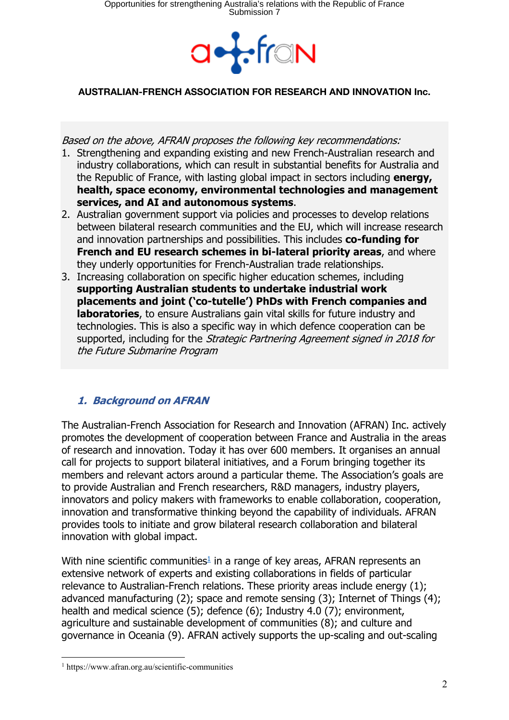

Based on the above, AFRAN proposes the following key recommendations:

- 1. Strengthening and expanding existing and new French-Australian research and industry collaborations, which can result in substantial benefits for Australia and the Republic of France, with lasting global impact in sectors including **energy, health, space economy, environmental technologies and management services, and AI and autonomous systems**.
- 2. Australian government support via policies and processes to develop relations between bilateral research communities and the EU, which will increase research and innovation partnerships and possibilities. This includes **co-funding for French and EU research schemes in bi-lateral priority areas**, and where they underly opportunities for French-Australian trade relationships.
- 3. Increasing collaboration on specific higher education schemes, including **supporting Australian students to undertake industrial work placements and joint ('co-tutelle') PhDs with French companies and laboratories**, to ensure Australians gain vital skills for future industry and technologies. This is also a specific way in which defence cooperation can be supported, including for the *Strategic Partnering Agreement signed in 2018 for* the Future Submarine Program

# **1. Background on AFRAN**

The Australian-French Association for Research and Innovation (AFRAN) Inc. actively promotes the development of cooperation between France and Australia in the areas of research and innovation. Today it has over 600 members. It organises an annual call for projects to support bilateral initiatives, and a Forum bringing together its members and relevant actors around a particular theme. The Association's goals are to provide Australian and French researchers, R&D managers, industry players, innovators and policy makers with frameworks to enable collaboration, cooperation, innovation and transformative thinking beyond the capability of individuals. AFRAN provides tools to initiate and grow bilateral research collaboration and bilateral innovation with global impact.

With nine scientific communities<sup>1</sup> in a range of key areas, AFRAN represents an extensive network of experts and existing collaborations in fields of particular relevance to Australian-French relations. These priority areas include energy (1); advanced manufacturing (2); space and remote sensing (3); Internet of Things (4); health and medical science (5); defence (6); Industry 4.0 (7); environment, agriculture and sustainable development of communities (8); and culture and governance in Oceania (9). AFRAN actively supports the up-scaling and out-scaling

<sup>1</sup> https://www.afran.org.au/scientific-communities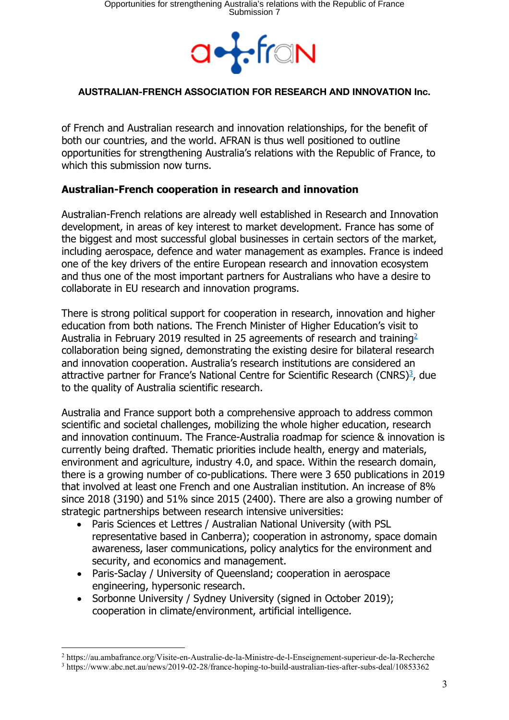

of French and Australian research and innovation relationships, for the benefit of both our countries, and the world. AFRAN is thus well positioned to outline opportunities for strengthening Australia's relations with the Republic of France, to which this submission now turns.

# **Australian-French cooperation in research and innovation**

Australian-French relations are already well established in Research and Innovation development, in areas of key interest to market development. France has some of the biggest and most successful global businesses in certain sectors of the market, including aerospace, defence and water management as examples. France is indeed one of the key drivers of the entire European research and innovation ecosystem and thus one of the most important partners for Australians who have a desire to collaborate in EU research and innovation programs.

There is strong political support for cooperation in research, innovation and higher education from both nations. The French Minister of Higher Education's visit to Australia in February 2019 resulted in 25 agreements of research and training<sup>2</sup> collaboration being signed, demonstrating the existing desire for bilateral research and innovation cooperation. Australia's research institutions are considered an attractive partner for France's National Centre for Scientific Research (CNRS)<sup>3</sup>, due to the quality of Australia scientific research.

Australia and France support both a comprehensive approach to address common scientific and societal challenges, mobilizing the whole higher education, research and innovation continuum. The France-Australia roadmap for science & innovation is currently being drafted. Thematic priorities include health, energy and materials, environment and agriculture, industry 4.0, and space. Within the research domain, there is a growing number of co-publications. There were 3 650 publications in 2019 that involved at least one French and one Australian institution. An increase of 8% since 2018 (3190) and 51% since 2015 (2400). There are also a growing number of strategic partnerships between research intensive universities:

- Paris Sciences et Lettres / Australian National University (with PSL representative based in Canberra); cooperation in astronomy, space domain awareness, laser communications, policy analytics for the environment and security, and economics and management.
- Paris-Saclay / University of Queensland; cooperation in aerospace engineering, hypersonic research.
- Sorbonne University / Sydney University (signed in October 2019); cooperation in climate/environment, artificial intelligence.

<sup>2</sup> https://au.ambafrance.org/Visite-en-Australie-de-la-Ministre-de-l-Enseignement-superieur-de-la-Recherche <sup>3</sup> https://www.abc.net.au/news/2019-02-28/france-hoping-to-build-australian-ties-after-subs-deal/10853362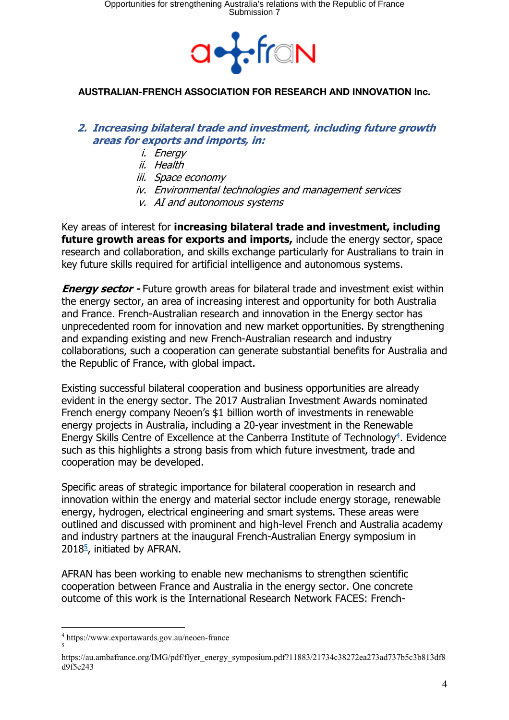

### **2. Increasing bilateral trade and investment, including future growth areas for exports and imports, in:**

- i. Energy
- ii. Health
- iii. Space economy
- iv. Environmental technologies and management services
- v. AI and autonomous systems

Key areas of interest for **increasing bilateral trade and investment, including future growth areas for exports and imports, include the energy sector, space** research and collaboration, and skills exchange particularly for Australians to train in key future skills required for artificial intelligence and autonomous systems.

**Energy sector -** Future growth areas for bilateral trade and investment exist within the energy sector, an area of increasing interest and opportunity for both Australia and France. French-Australian research and innovation in the Energy sector has unprecedented room for innovation and new market opportunities. By strengthening and expanding existing and new French-Australian research and industry collaborations, such a cooperation can generate substantial benefits for Australia and the Republic of France, with global impact.

Existing successful bilateral cooperation and business opportunities are already evident in the energy sector. The 2017 Australian Investment Awards nominated French energy company Neoen's \$1 billion worth of investments in renewable energy projects in Australia, including a 20-year investment in the Renewable Energy Skills Centre of Excellence at the Canberra Institute of Technology<sup>4</sup>. Evidence such as this highlights a strong basis from which future investment, trade and cooperation may be developed.

Specific areas of strategic importance for bilateral cooperation in research and innovation within the energy and material sector include energy storage, renewable energy, hydrogen, electrical engineering and smart systems. These areas were outlined and discussed with prominent and high-level French and Australia academy and industry partners at the inaugural French-Australian Energy symposium in  $2018<sup>5</sup>$ , initiated by AFRAN.

AFRAN has been working to enable new mechanisms to strengthen scientific cooperation between France and Australia in the energy sector. One concrete outcome of this work is the International Research Network FACES: French-

<sup>4</sup> https://www.exportawards.gov.au/neoen-france 5

https://au.ambafrance.org/IMG/pdf/flyer\_energy\_symposium.pdf?11883/21734c38272ea273ad737b5c3b813df8 d9f5e243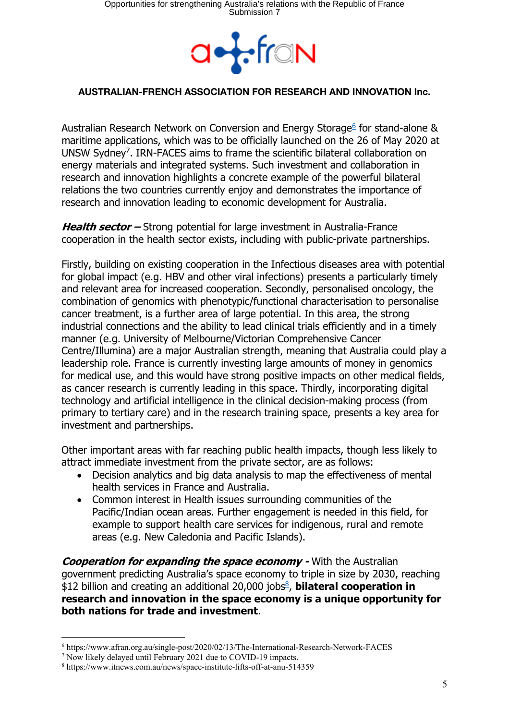

Australian Research Network on Conversion and Energy Storage<sup>6</sup> for stand-alone & maritime applications, which was to be officially launched on the 26 of May 2020 at UNSW Sydney7. IRN-FACES aims to frame the scientific bilateral collaboration on energy materials and integrated systems. Such investment and collaboration in research and innovation highlights a concrete example of the powerful bilateral relations the two countries currently enjoy and demonstrates the importance of research and innovation leading to economic development for Australia.

**Health sector –** Strong potential for large investment in Australia-France cooperation in the health sector exists, including with public-private partnerships.

Firstly, building on existing cooperation in the Infectious diseases area with potential for global impact (e.g. HBV and other viral infections) presents a particularly timely and relevant area for increased cooperation. Secondly, personalised oncology, the combination of genomics with phenotypic/functional characterisation to personalise cancer treatment, is a further area of large potential. In this area, the strong industrial connections and the ability to lead clinical trials efficiently and in a timely manner (e.g. University of Melbourne/Victorian Comprehensive Cancer Centre/Illumina) are a major Australian strength, meaning that Australia could play a leadership role. France is currently investing large amounts of money in genomics for medical use, and this would have strong positive impacts on other medical fields, as cancer research is currently leading in this space. Thirdly, incorporating digital technology and artificial intelligence in the clinical decision-making process (from primary to tertiary care) and in the research training space, presents a key area for investment and partnerships.

Other important areas with far reaching public health impacts, though less likely to attract immediate investment from the private sector, are as follows:

- Decision analytics and big data analysis to map the effectiveness of mental health services in France and Australia.
- Common interest in Health issues surrounding communities of the Pacific/Indian ocean areas. Further engagement is needed in this field, for example to support health care services for indigenous, rural and remote areas (e.g. New Caledonia and Pacific Islands).

**Cooperation for expanding the space economy -** With the Australian government predicting Australia's space economy to triple in size by 2030, reaching \$12 billion and creating an additional 20,000 jobs<sup>8</sup>, **bilateral cooperation in research and innovation in the space economy is a unique opportunity for both nations for trade and investment**.

<sup>6</sup> https://www.afran.org.au/single-post/2020/02/13/The-International-Research-Network-FACES

<sup>7</sup> Now likely delayed until February 2021 due to COVID-19 impacts.

<sup>8</sup> https://www.itnews.com.au/news/space-institute-lifts-off-at-anu-514359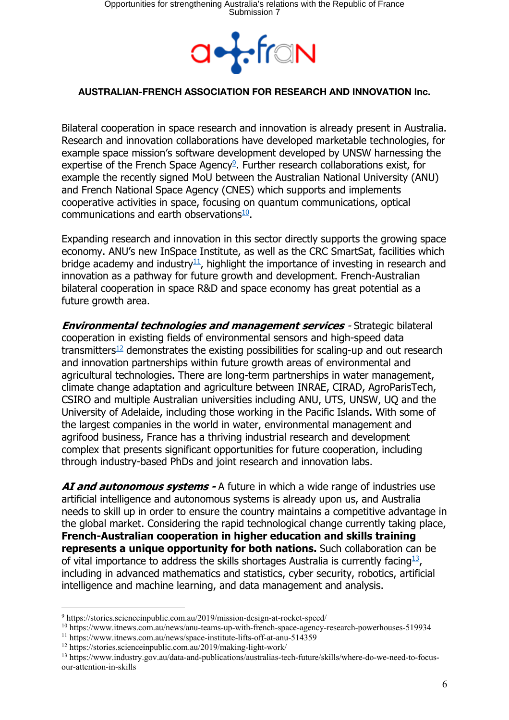

Bilateral cooperation in space research and innovation is already present in Australia. Research and innovation collaborations have developed marketable technologies, for example space mission's software development developed by UNSW harnessing the expertise of the French Space Agency<sup>9</sup>. Further research collaborations exist, for example the recently signed MoU between the Australian National University (ANU) and French National Space Agency (CNES) which supports and implements cooperative activities in space, focusing on quantum communications, optical communications and earth observations $\frac{10}{2}$ .

Expanding research and innovation in this sector directly supports the growing space economy. ANU's new InSpace Institute, as well as the CRC SmartSat, facilities which bridge academy and industry $1/2$ , highlight the importance of investing in research and innovation as a pathway for future growth and development. French-Australian bilateral cooperation in space R&D and space economy has great potential as a future growth area.

**Environmental technologies and management services** - Strategic bilateral cooperation in existing fields of environmental sensors and high-speed data transmitters<sup>12</sup> demonstrates the existing possibilities for scaling-up and out research and innovation partnerships within future growth areas of environmental and agricultural technologies. There are long-term partnerships in water management, climate change adaptation and agriculture between INRAE, CIRAD, AgroParisTech, CSIRO and multiple Australian universities including ANU, UTS, UNSW, UQ and the University of Adelaide, including those working in the Pacific Islands. With some of the largest companies in the world in water, environmental management and agrifood business, France has a thriving industrial research and development complex that presents significant opportunities for future cooperation, including through industry-based PhDs and joint research and innovation labs.

**AI and autonomous systems -** A future in which a wide range of industries use artificial intelligence and autonomous systems is already upon us, and Australia needs to skill up in order to ensure the country maintains a competitive advantage in the global market. Considering the rapid technological change currently taking place, **French-Australian cooperation in higher education and skills training represents a unique opportunity for both nations.** Such collaboration can be of vital importance to address the skills shortages Australia is currently facing<sup>13</sup>, including in advanced mathematics and statistics, cyber security, robotics, artificial intelligence and machine learning, and data management and analysis.

<sup>9</sup> https://stories.scienceinpublic.com.au/2019/mission-design-at-rocket-speed/

<sup>10</sup> https://www.itnews.com.au/news/anu-teams-up-with-french-space-agency-research-powerhouses-519934

<sup>11</sup> https://www.itnews.com.au/news/space-institute-lifts-off-at-anu-514359

<sup>12</sup> https://stories.scienceinpublic.com.au/2019/making-light-work/

<sup>13</sup> https://www.industry.gov.au/data-and-publications/australias-tech-future/skills/where-do-we-need-to-focusour-attention-in-skills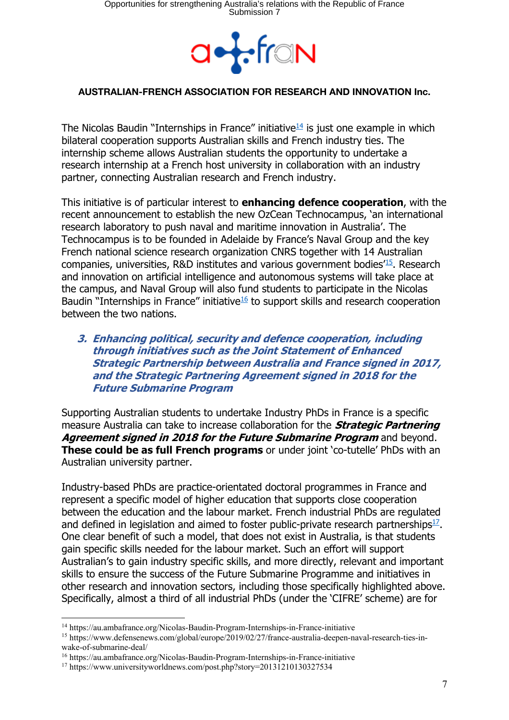

The Nicolas Baudin "Internships in France" initiative $14$  is just one example in which bilateral cooperation supports Australian skills and French industry ties. The internship scheme allows Australian students the opportunity to undertake a research internship at a French host university in collaboration with an industry partner, connecting Australian research and French industry.

This initiative is of particular interest to **enhancing defence cooperation**, with the recent announcement to establish the new OzCean Technocampus, 'an international research laboratory to push naval and maritime innovation in Australia'. The Technocampus is to be founded in Adelaide by France's Naval Group and the key French national science research organization CNRS together with 14 Australian companies, universities, R&D institutes and various government bodies'15. Research and innovation on artificial intelligence and autonomous systems will take place at the campus, and Naval Group will also fund students to participate in the Nicolas Baudin "Internships in France" initiative $16$  to support skills and research cooperation between the two nations.

### **3. Enhancing political, security and defence cooperation, including through initiatives such as the Joint Statement of Enhanced Strategic Partnership between Australia and France signed in 2017, and the Strategic Partnering Agreement signed in 2018 for the Future Submarine Program**

Supporting Australian students to undertake Industry PhDs in France is a specific measure Australia can take to increase collaboration for the **Strategic Partnering Agreement signed in 2018 for the Future Submarine Program** and beyond. **These could be as full French programs** or under joint 'co-tutelle' PhDs with an Australian university partner.

Industry-based PhDs are practice-orientated doctoral programmes in France and represent a specific model of higher education that supports close cooperation between the education and the labour market. French industrial PhDs are regulated and defined in legislation and aimed to foster public-private research partnerships $17$ . One clear benefit of such a model, that does not exist in Australia, is that students gain specific skills needed for the labour market. Such an effort will support Australian's to gain industry specific skills, and more directly, relevant and important skills to ensure the success of the Future Submarine Programme and initiatives in other research and innovation sectors, including those specifically highlighted above. Specifically, almost a third of all industrial PhDs (under the 'CIFRE' scheme) are for

<sup>14</sup> https://au.ambafrance.org/Nicolas-Baudin-Program-Internships-in-France-initiative

<sup>15</sup> https://www.defensenews.com/global/europe/2019/02/27/france-australia-deepen-naval-research-ties-inwake-of-submarine-deal/

<sup>16</sup> https://au.ambafrance.org/Nicolas-Baudin-Program-Internships-in-France-initiative

<sup>17</sup> https://www.universityworldnews.com/post.php?story=20131210130327534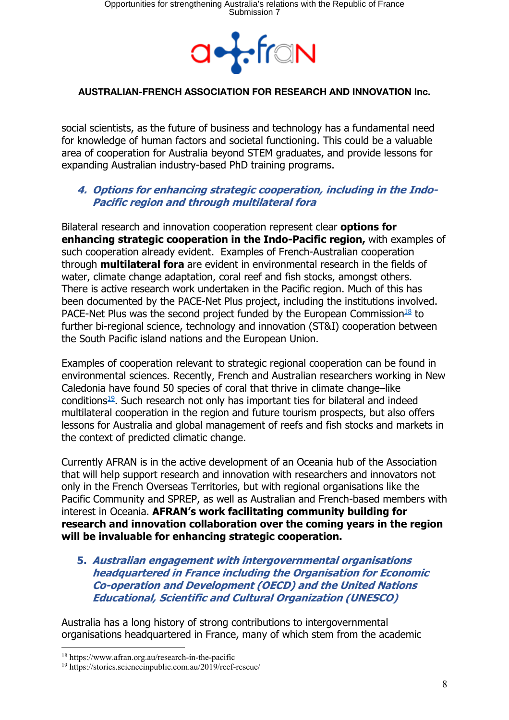

social scientists, as the future of business and technology has a fundamental need for knowledge of human factors and societal functioning. This could be a valuable area of cooperation for Australia beyond STEM graduates, and provide lessons for expanding Australian industry-based PhD training programs.

# **4. Options for enhancing strategic cooperation, including in the Indo-Pacific region and through multilateral fora**

Bilateral research and innovation cooperation represent clear **options for enhancing strategic cooperation in the Indo-Pacific region,** with examples of such cooperation already evident. Examples of French-Australian cooperation through **multilateral fora** are evident in environmental research in the fields of water, climate change adaptation, coral reef and fish stocks, amongst others. There is active research work undertaken in the Pacific region. Much of this has been documented by the PACE-Net Plus project, including the institutions involved. PACE-Net Plus was the second project funded by the European Commission $\frac{18}{10}$  to further bi-regional science, technology and innovation (ST&I) cooperation between the South Pacific island nations and the European Union.

Examples of cooperation relevant to strategic regional cooperation can be found in environmental sciences. Recently, French and Australian researchers working in New Caledonia have found 50 species of coral that thrive in climate change–like conditions<sup>19</sup>. Such research not only has important ties for bilateral and indeed multilateral cooperation in the region and future tourism prospects, but also offers lessons for Australia and global management of reefs and fish stocks and markets in the context of predicted climatic change.

Currently AFRAN is in the active development of an Oceania hub of the Association that will help support research and innovation with researchers and innovators not only in the French Overseas Territories, but with regional organisations like the Pacific Community and SPREP, as well as Australian and French-based members with interest in Oceania. **AFRAN's work facilitating community building for research and innovation collaboration over the coming years in the region will be invaluable for enhancing strategic cooperation.** 

**5. Australian engagement with intergovernmental organisations headquartered in France including the Organisation for Economic Co-operation and Development (OECD) and the United Nations Educational, Scientific and Cultural Organization (UNESCO)**

Australia has a long history of strong contributions to intergovernmental organisations headquartered in France, many of which stem from the academic

<sup>18</sup> https://www.afran.org.au/research-in-the-pacific

<sup>19</sup> https://stories.scienceinpublic.com.au/2019/reef-rescue/